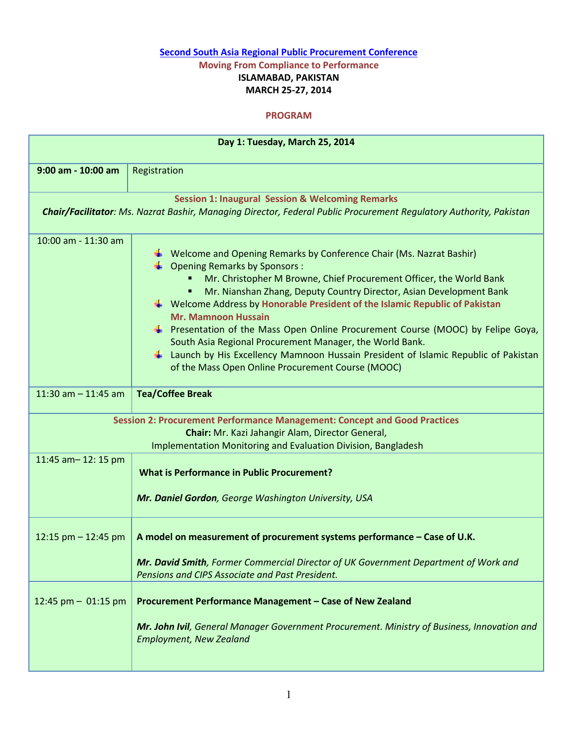## Second South Asia Regional Public Procurement Conference Moving From Compliance to Performance ISLAMABAD, PAKISTAN

## MARCH 25-27, 2014

## PROGRAM

| Day 1: Tuesday, March 25, 2014                                                                                                                                                                        |                                                                                                                                                                                                                                                                                                                                                                                                                                                                                                                                                                                                                                                                                                                     |  |  |  |
|-------------------------------------------------------------------------------------------------------------------------------------------------------------------------------------------------------|---------------------------------------------------------------------------------------------------------------------------------------------------------------------------------------------------------------------------------------------------------------------------------------------------------------------------------------------------------------------------------------------------------------------------------------------------------------------------------------------------------------------------------------------------------------------------------------------------------------------------------------------------------------------------------------------------------------------|--|--|--|
| 9:00 am - 10:00 am                                                                                                                                                                                    | Registration                                                                                                                                                                                                                                                                                                                                                                                                                                                                                                                                                                                                                                                                                                        |  |  |  |
| <b>Session 1: Inaugural Session &amp; Welcoming Remarks</b><br>Chair/Facilitator: Ms. Nazrat Bashir, Managing Director, Federal Public Procurement Regulatory Authority, Pakistan                     |                                                                                                                                                                                                                                                                                                                                                                                                                                                                                                                                                                                                                                                                                                                     |  |  |  |
| 10:00 am - 11:30 am                                                                                                                                                                                   | $\downarrow$ Welcome and Opening Remarks by Conference Chair (Ms. Nazrat Bashir)<br>$\Box$ Opening Remarks by Sponsors :<br>Mr. Christopher M Browne, Chief Procurement Officer, the World Bank<br>٠<br>Mr. Nianshan Zhang, Deputy Country Director, Asian Development Bank<br>٠<br>$\frac{1}{2}$ Welcome Address by Honorable President of the Islamic Republic of Pakistan<br><b>Mr. Mamnoon Hussain</b><br><b>EXECUTE:</b> Presentation of the Mass Open Online Procurement Course (MOOC) by Felipe Goya,<br>South Asia Regional Procurement Manager, the World Bank.<br>Launch by His Excellency Mamnoon Hussain President of Islamic Republic of Pakistan<br>of the Mass Open Online Procurement Course (MOOC) |  |  |  |
| 11:30 am $-$ 11:45 am                                                                                                                                                                                 | <b>Tea/Coffee Break</b>                                                                                                                                                                                                                                                                                                                                                                                                                                                                                                                                                                                                                                                                                             |  |  |  |
| Session 2: Procurement Performance Management: Concept and Good Practices<br>Chair: Mr. Kazi Jahangir Alam, Director General,<br><b>Implementation Monitoring and Evaluation Division, Bangladesh</b> |                                                                                                                                                                                                                                                                                                                                                                                                                                                                                                                                                                                                                                                                                                                     |  |  |  |
| 11:45 am-12:15 pm                                                                                                                                                                                     | <b>What is Performance in Public Procurement?</b><br>Mr. Daniel Gordon, George Washington University, USA                                                                                                                                                                                                                                                                                                                                                                                                                                                                                                                                                                                                           |  |  |  |
| 12:15 pm $-$ 12:45 pm                                                                                                                                                                                 | A model on measurement of procurement systems performance - Case of U.K.<br>Mr. David Smith, Former Commercial Director of UK Government Department of Work and<br>Pensions and CIPS Associate and Past President.                                                                                                                                                                                                                                                                                                                                                                                                                                                                                                  |  |  |  |
| 12:45 pm $-$ 01:15 pm                                                                                                                                                                                 | Procurement Performance Management - Case of New Zealand<br>Mr. John Ivil, General Manager Government Procurement. Ministry of Business, Innovation and<br><b>Employment, New Zealand</b>                                                                                                                                                                                                                                                                                                                                                                                                                                                                                                                           |  |  |  |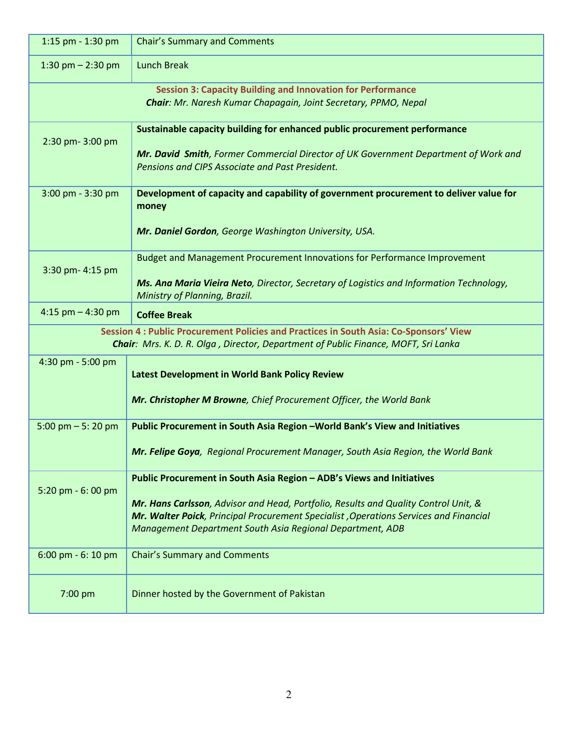| 1:15 pm $-$ 1:30 pm                                                                                                                                                          | <b>Chair's Summary and Comments</b>                                                                                                                                                                                                                                                                                         |  |  |  |
|------------------------------------------------------------------------------------------------------------------------------------------------------------------------------|-----------------------------------------------------------------------------------------------------------------------------------------------------------------------------------------------------------------------------------------------------------------------------------------------------------------------------|--|--|--|
| 1:30 pm $- 2:30$ pm                                                                                                                                                          | <b>Lunch Break</b>                                                                                                                                                                                                                                                                                                          |  |  |  |
| <b>Session 3: Capacity Building and Innovation for Performance</b><br>Chair: Mr. Naresh Kumar Chapagain, Joint Secretary, PPMO, Nepal                                        |                                                                                                                                                                                                                                                                                                                             |  |  |  |
| 2:30 pm-3:00 pm                                                                                                                                                              | Sustainable capacity building for enhanced public procurement performance<br>Mr. David Smith, Former Commercial Director of UK Government Department of Work and<br>Pensions and CIPS Associate and Past President.                                                                                                         |  |  |  |
| 3:00 pm - 3:30 pm                                                                                                                                                            | Development of capacity and capability of government procurement to deliver value for<br>money<br>Mr. Daniel Gordon, George Washington University, USA.                                                                                                                                                                     |  |  |  |
| 3:30 pm- 4:15 pm                                                                                                                                                             | Budget and Management Procurement Innovations for Performance Improvement<br>Ms. Ana Maria Vieira Neto, Director, Secretary of Logistics and Information Technology,<br>Ministry of Planning, Brazil.                                                                                                                       |  |  |  |
| 4:15 pm $-$ 4:30 pm                                                                                                                                                          | <b>Coffee Break</b>                                                                                                                                                                                                                                                                                                         |  |  |  |
| Session 4 : Public Procurement Policies and Practices in South Asia: Co-Sponsors' View<br>Chair: Mrs. K. D. R. Olga, Director, Department of Public Finance, MOFT, Sri Lanka |                                                                                                                                                                                                                                                                                                                             |  |  |  |
| 4:30 pm - 5:00 pm                                                                                                                                                            | Latest Development in World Bank Policy Review<br>Mr. Christopher M Browne, Chief Procurement Officer, the World Bank                                                                                                                                                                                                       |  |  |  |
| $5:00 \text{ pm} - 5:20 \text{ pm}$                                                                                                                                          | Public Procurement in South Asia Region - World Bank's View and Initiatives<br>Mr. Felipe Goya, Regional Procurement Manager, South Asia Region, the World Bank                                                                                                                                                             |  |  |  |
| 5:20 pm - 6:00 pm                                                                                                                                                            | Public Procurement in South Asia Region - ADB's Views and Initiatives<br>Mr. Hans Carlsson, Advisor and Head, Portfolio, Results and Quality Control Unit, &<br><b>Mr. Walter Poick</b> , Principal Procurement Specialist , Operations Services and Financial<br>Management Department South Asia Regional Department, ADB |  |  |  |
| 6:00 pm - 6:10 pm                                                                                                                                                            | <b>Chair's Summary and Comments</b>                                                                                                                                                                                                                                                                                         |  |  |  |
| 7:00 pm                                                                                                                                                                      | Dinner hosted by the Government of Pakistan                                                                                                                                                                                                                                                                                 |  |  |  |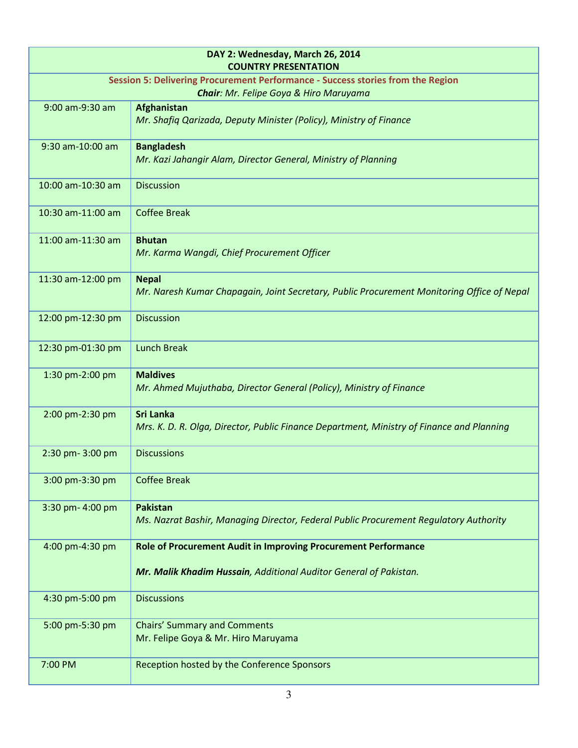| DAY 2: Wednesday, March 26, 2014<br><b>COUNTRY PRESENTATION</b>                 |                                                                                                               |  |  |
|---------------------------------------------------------------------------------|---------------------------------------------------------------------------------------------------------------|--|--|
| Session 5: Delivering Procurement Performance - Success stories from the Region |                                                                                                               |  |  |
|                                                                                 | Chair: Mr. Felipe Goya & Hiro Maruyama                                                                        |  |  |
| 9:00 am-9:30 am                                                                 | Afghanistan<br>Mr. Shafiq Qarizada, Deputy Minister (Policy), Ministry of Finance                             |  |  |
| 9:30 am-10:00 am                                                                | <b>Bangladesh</b><br>Mr. Kazi Jahangir Alam, Director General, Ministry of Planning                           |  |  |
| 10:00 am-10:30 am                                                               | <b>Discussion</b>                                                                                             |  |  |
| 10:30 am-11:00 am                                                               | <b>Coffee Break</b>                                                                                           |  |  |
| 11:00 am-11:30 am                                                               | <b>Bhutan</b><br>Mr. Karma Wangdi, Chief Procurement Officer                                                  |  |  |
| 11:30 am-12:00 pm                                                               | <b>Nepal</b><br>Mr. Naresh Kumar Chapagain, Joint Secretary, Public Procurement Monitoring Office of Nepal    |  |  |
| 12:00 pm-12:30 pm                                                               | <b>Discussion</b>                                                                                             |  |  |
| 12:30 pm-01:30 pm                                                               | <b>Lunch Break</b>                                                                                            |  |  |
| 1:30 pm-2:00 pm                                                                 | <b>Maldives</b><br>Mr. Ahmed Mujuthaba, Director General (Policy), Ministry of Finance                        |  |  |
| 2:00 pm-2:30 pm                                                                 | <b>Sri Lanka</b><br>Mrs. K. D. R. Olga, Director, Public Finance Department, Ministry of Finance and Planning |  |  |
| 2:30 pm-3:00 pm                                                                 | <b>Discussions</b>                                                                                            |  |  |
| 3:00 pm-3:30 pm                                                                 | <b>Coffee Break</b>                                                                                           |  |  |
| 3:30 pm- 4:00 pm                                                                | <b>Pakistan</b><br>Ms. Nazrat Bashir, Managing Director, Federal Public Procurement Regulatory Authority      |  |  |
| 4:00 pm-4:30 pm                                                                 | Role of Procurement Audit in Improving Procurement Performance                                                |  |  |
|                                                                                 | Mr. Malik Khadim Hussain, Additional Auditor General of Pakistan.                                             |  |  |
| 4:30 pm-5:00 pm                                                                 | <b>Discussions</b>                                                                                            |  |  |
| 5:00 pm-5:30 pm                                                                 | <b>Chairs' Summary and Comments</b>                                                                           |  |  |
|                                                                                 | Mr. Felipe Goya & Mr. Hiro Maruyama                                                                           |  |  |
| 7:00 PM                                                                         | Reception hosted by the Conference Sponsors                                                                   |  |  |